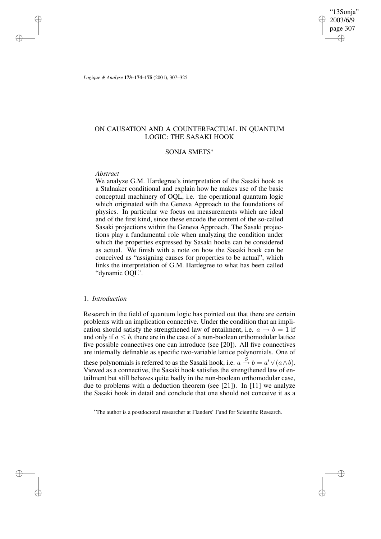"13Sonja" 2003/6/9 page 307 ✐ ✐

✐

✐

*Logique & Analyse* **173–174–175** (2001), 307–325

# ON CAUSATION AND A COUNTERFACTUAL IN QUANTUM LOGIC: THE SASAKI HOOK

## SONJA SMETS<sup>∗</sup>

## *Abstract*

✐

✐

✐

✐

We analyze G.M. Hardegree's interpretation of the Sasaki hook as a Stalnaker conditional and explain how he makes use of the basic conceptual machinery of OQL, i.e. the operational quantum logic which originated with the Geneva Approach to the foundations of physics. In particular we focus on measurements which are ideal and of the first kind, since these encode the content of the so-called Sasaki projections within the Geneva Approach. The Sasaki projections play a fundamental role when analyzing the condition under which the properties expressed by Sasaki hooks can be considered as actual. We finish with a note on how the Sasaki hook can be conceived as "assigning causes for properties to be actual", which links the interpretation of G.M. Hardegree to what has been called "dynamic OQL".

## 1. *Introduction*

Research in the field of quantum logic has pointed out that there are certain problems with an implication connective. Under the condition that an implication should satisfy the strengthened law of entailment, i.e.  $a \rightarrow b = 1$  if and only if  $a \leq b$ , there are in the case of a non-boolean orthomodular lattice five possible connectives one can introduce (see [20]). All five connectives are internally definable as specific two-variable lattice polynomials. One of these polynomials is referred to as the Sasaki hook, i.e.  $a \stackrel{S}{\rightarrow} b = a' \vee (a \wedge b)$ . Viewed as a connective, the Sasaki hook satisfies the strengthened law of entailment but still behaves quite badly in the non-boolean orthomodular case, due to problems with a deduction theorem (see [21]). In [11] we analyze the Sasaki hook in detail and conclude that one should not conceive it as a

<sup>∗</sup>The author is a postdoctoral researcher at Flanders' Fund for Scientific Research.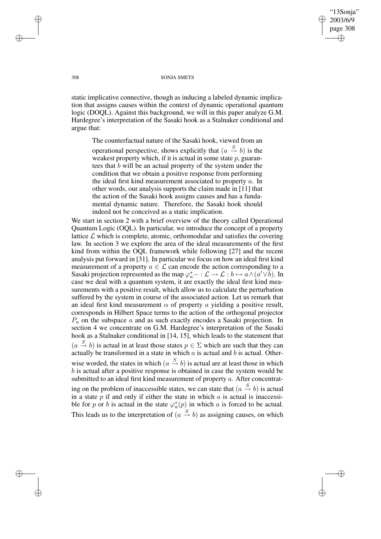"13Sonja" 2003/6/9 page 308 ✐ ✐

✐

✐

#### 308 SONJA SMETS

static implicative connective, though as inducing a labeled dynamic implication that assigns causes within the context of dynamic operational quantum logic (DOQL). Against this background, we will in this paper analyze G.M. Hardegree's interpretation of the Sasaki hook as a Stalnaker conditional and argue that:

The counterfactual nature of the Sasaki hook, viewed from an operational perspective, shows explicitly that  $(a \stackrel{S}{\rightarrow} b)$  is the weakest property which, if it is actual in some state  $p$ , guarantees that b will be an actual property of the system under the condition that we obtain a positive response from performing the ideal first kind measurement associated to property a. In other words, our analysis supports the claim made in [11] that the action of the Sasaki hook assigns causes and has a fundamental dynamic nature. Therefore, the Sasaki hook should indeed not be conceived as a static implication.

We start in section 2 with a brief overview of the theory called Operational Quantum Logic (OQL). In particular, we introduce the concept of a property lattice  $\mathcal L$  which is complete, atomic, orthomodular and satisfies the covering law. In section 3 we explore the area of the ideal measurements of the first kind from within the OQL framework while following [27] and the recent analysis put forward in [31]. In particular we focus on how an ideal first kind measurement of a property  $a \in \mathcal{L}$  can encode the action corresponding to a Sasaki projection represented as the map  $\varphi_a^*$  – :  $\mathcal{L} \to \mathcal{L} : b \mapsto a \wedge (a' \vee b)$ . In case we deal with a quantum system, it are exactly the ideal first kind measurements with a positive result, which allow us to calculate the perturbation suffered by the system in course of the associated action. Let us remark that an ideal first kind measurement  $\alpha$  of property a yielding a positive result, corresponds in Hilbert Space terms to the action of the orthogonal projector  $P_a$  on the subspace a and as such exactly encodes a Sasaki projection. In section 4 we concentrate on G.M. Hardegree's interpretation of the Sasaki hook as a Stalnaker conditional in [14, 15], which leads to the statement that  $(a \stackrel{S}{\rightarrow} b)$  is actual in at least those states  $p \in \Sigma$  which are such that they can actually be transformed in a state in which  $a$  is actual and  $b$  is actual. Otherwise worded, the states in which  $(a \stackrel{S}{\rightarrow} b)$  is actual are at least those in which b is actual after a positive response is obtained in case the system would be submitted to an ideal first kind measurement of property a. After concentrating on the problem of inaccessible states, we can state that  $(a \stackrel{S}{\rightarrow} b)$  is actual in a state  $p$  if and only if either the state in which  $a$  is actual is inaccessible for p or b is actual in the state  $\varphi_a^*(p)$  in which a is forced to be actual. This leads us to the interpretation of  $(a \stackrel{S}{\rightarrow} b)$  as assigning causes, on which

✐

✐

✐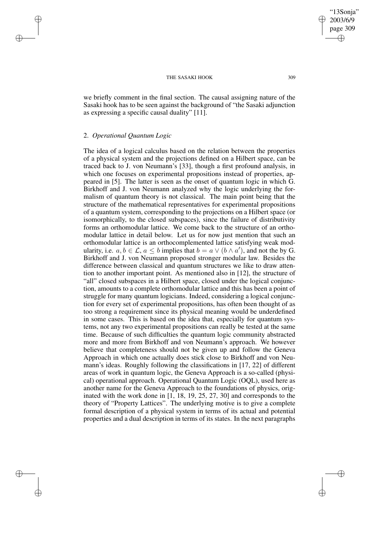we briefly comment in the final section. The causal assigning nature of the Sasaki hook has to be seen against the background of "the Sasaki adjunction as expressing a specific causal duality" [11].

## 2. *Operational Quantum Logic*

✐

✐

✐

✐

The idea of a logical calculus based on the relation between the properties of a physical system and the projections defined on a Hilbert space, can be traced back to J. von Neumann's [33], though a first profound analysis, in which one focuses on experimental propositions instead of properties, appeared in [5]. The latter is seen as the onset of quantum logic in which G. Birkhoff and J. von Neumann analyzed why the logic underlying the formalism of quantum theory is not classical. The main point being that the structure of the mathematical representatives for experimental propositions of a quantum system, corresponding to the projections on a Hilbert space (or isomorphically, to the closed subspaces), since the failure of distributivity forms an orthomodular lattice. We come back to the structure of an orthomodular lattice in detail below. Let us for now just mention that such an orthomodular lattice is an orthocomplemented lattice satisfying weak modularity, i.e.  $a, b \in \mathcal{L}$ ,  $a \leq b$  implies that  $b = a \vee (b \wedge a')$ , and not the by G. Birkhoff and J. von Neumann proposed stronger modular law. Besides the difference between classical and quantum structures we like to draw attention to another important point. As mentioned also in [12], the structure of "all" closed subspaces in a Hilbert space, closed under the logical conjunction, amounts to a complete orthomodular lattice and this has been a point of struggle for many quantum logicians. Indeed, considering a logical conjunction for every set of experimental propositions, has often been thought of as too strong a requirement since its physical meaning would be underdefined in some cases. This is based on the idea that, especially for quantum systems, not any two experimental propositions can really be tested at the same time. Because of such difficulties the quantum logic community abstracted more and more from Birkhoff and von Neumann's approach. We however believe that completeness should not be given up and follow the Geneva Approach in which one actually does stick close to Birkhoff and von Neumann's ideas. Roughly following the classifications in [17, 22] of different areas of work in quantum logic, the Geneva Approach is a so-called (physical) operational approach. Operational Quantum Logic (OQL), used here as another name for the Geneva Approach to the foundations of physics, originated with the work done in [1, 18, 19, 25, 27, 30] and corresponds to the theory of "Property Lattices". The underlying motive is to give a complete formal description of a physical system in terms of its actual and potential properties and a dual description in terms of its states. In the next paragraphs

✐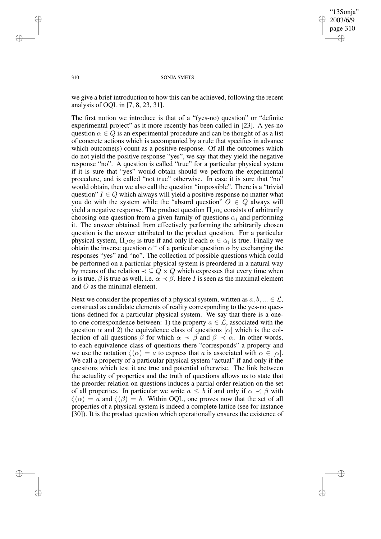✐

✐

#### 310 SONJA SMETS

we give a brief introduction to how this can be achieved, following the recent analysis of OQL in [7, 8, 23, 31].

The first notion we introduce is that of a "(yes-no) question" or "definite experimental project" as it more recently has been called in [23]. A yes-no question  $\alpha \in Q$  is an experimental procedure and can be thought of as a list of concrete actions which is accompanied by a rule that specifies in advance which outcome(s) count as a positive response. Of all the outcomes which do not yield the positive response "yes", we say that they yield the negative response "no". A question is called "true" for a particular physical system if it is sure that "yes" would obtain should we perform the experimental procedure, and is called "not true" otherwise. In case it is sure that "no" would obtain, then we also call the question "impossible". There is a "trivial question"  $I \in Q$  which always will yield a positive response no matter what you do with the system while the "absurd question"  $O \in Q$  always will yield a negative response. The product question  $\Pi_J \alpha_i$  consists of arbitrarily choosing one question from a given family of questions  $\alpha_i$  and performing it. The answer obtained from effectively performing the arbitrarily chosen question is the answer attributed to the product question. For a particular physical system,  $\Pi_J \alpha_i$  is true if and only if each  $\alpha \in \alpha_i$  is true. Finally we obtain the inverse question  $\alpha^{\sim}$  of a particular question  $\alpha$  by exchanging the responses "yes" and "no". The collection of possible questions which could be performed on a particular physical system is preordered in a natural way by means of the relation  $\prec \subseteq Q \times Q$  which expresses that every time when  $\alpha$  is true,  $\beta$  is true as well, i.e.  $\alpha \prec \beta$ . Here *I* is seen as the maximal element and O as the minimal element.

Next we consider the properties of a physical system, written as  $a, b, \ldots \in \mathcal{L}$ , construed as candidate elements of reality corresponding to the yes-no questions defined for a particular physical system. We say that there is a oneto-one correspondence between: 1) the property  $a \in \mathcal{L}$ , associated with the question  $\alpha$  and 2) the equivalence class of questions  $[\alpha]$  which is the collection of all questions  $\beta$  for which  $\alpha \prec \beta$  and  $\beta \prec \alpha$ . In other words, to each equivalence class of questions there "corresponds" a property and we use the notation  $\zeta(\alpha) = a$  to express that a is associated with  $\alpha \in [\alpha]$ . We call a property of a particular physical system "actual" if and only if the questions which test it are true and potential otherwise. The link between the actuality of properties and the truth of questions allows us to state that the preorder relation on questions induces a partial order relation on the set of all properties. In particular we write  $a \leq b$  if and only if  $\alpha \prec \beta$  with  $\zeta(\alpha) = a$  and  $\zeta(\beta) = b$ . Within OQL, one proves now that the set of all properties of a physical system is indeed a complete lattice (see for instance [30]). It is the product question which operationally ensures the existence of

✐

✐

✐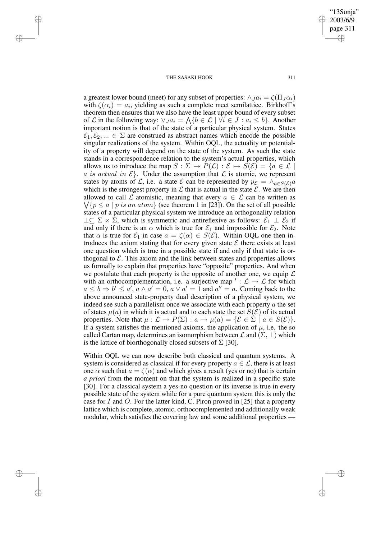✐

✐

✐

✐

"13Sonja" 2003/6/9 page 311

✐

✐

✐

✐

a greatest lower bound (meet) for any subset of properties:  $\wedge Ja_i = \zeta(\Pi_J \alpha_i)$ with  $\zeta(\alpha_i) = a_i$ , yielding as such a complete meet semilattice. Birkhoff's theorem then ensures that we also have the least upper bound of every subset of L in the following way:  $\vee_{J} a_i = \bigwedge \{b \in \mathcal{L} \mid \forall i \in J : a_i \leq b\}$ . Another important notion is that of the state of a particular physical system. States  $\mathcal{E}_1, \mathcal{E}_2, ... \in \Sigma$  are construed as abstract names which encode the possible singular realizations of the system. Within OQL, the actuality or potentiality of a property will depend on the state of the system. As such the state stands in a correspondence relation to the system's actual properties, which allows us to introduce the map  $S : \Sigma \to P(\mathcal{L}) : \mathcal{E} \mapsto S(\mathcal{E}) = \{a \in \mathcal{L} \mid$ a is actual in  $\mathcal{E}\$ . Under the assumption that  $\mathcal L$  is atomic, we represent states by atoms of L, i.e. a state E can be represented by  $p_{\mathcal{E}} = \wedge_{a \in S(\mathcal{E})} a$ which is the strongest property in  $\mathcal L$  that is actual in the state  $\mathcal E$ . We are then  $\bigvee \{p \leq a \mid p \text{ is an atom}\}$  (see theorem 1 in [23]). On the set of all possible allowed to call L atomistic, meaning that every  $a \in \mathcal{L}$  can be written as states of a particular physical system we introduce an orthogonality relation  $\perp \subseteq \Sigma \times \Sigma$ , which is symmetric and antireflexive as follows:  $\mathcal{E}_1 \perp \mathcal{E}_2$  if and only if there is an  $\alpha$  which is true for  $\mathcal{E}_1$  and impossible for  $\mathcal{E}_2$ . Note that  $\alpha$  is true for  $\mathcal{E}_1$  in case  $a = \zeta(\alpha) \in S(\mathcal{E})$ . Within OQL one then introduces the axiom stating that for every given state  $\mathcal E$  there exists at least one question which is true in a possible state if and only if that state is orthogonal to  $\mathcal E$ . This axiom and the link between states and properties allows us formally to explain that properties have "opposite" properties. And when we postulate that each property is the opposite of another one, we equip  $\mathcal L$ with an orthocomplementation, i.e. a surjective map ':  $\mathcal{L} \rightarrow \mathcal{L}$  for which  $a \leq b \Rightarrow b' \leq a', a \wedge a' = 0, a \vee a' = 1$  and  $a'' = a$ . Coming back to the above announced state-property dual description of a physical system, we indeed see such a parallelism once we associate with each property  $\alpha$  the set of states  $\mu(a)$  in which it is actual and to each state the set  $S(\mathcal{E})$  of its actual properties. Note that  $\mu : \mathcal{L} \to P(\Sigma) : a \mapsto \mu(a) = \{ \mathcal{E} \in \Sigma \mid a \in S(\mathcal{E}) \}.$ If a system satisfies the mentioned axioms, the application of  $\mu$ , i.e. the so called Cartan map, determines an isomorphism between  $\mathcal L$  and  $(\Sigma, \bot)$  which is the lattice of biorthogonally closed subsets of  $\Sigma$  [30].

Within OQL we can now describe both classical and quantum systems. A system is considered as classical if for every property  $a \in \mathcal{L}$ , there is at least one  $\alpha$  such that  $a = \zeta(\alpha)$  and which gives a result (yes or no) that is certain *a priori* from the moment on that the system is realized in a specific state [30]. For a classical system a yes-no question or its inverse is true in every possible state of the system while for a pure quantum system this is only the case for I and O. For the latter kind, C. Piron proved in  $[25]$  that a property lattice which is complete, atomic, orthocomplemented and additionally weak modular, which satisfies the covering law and some additional properties —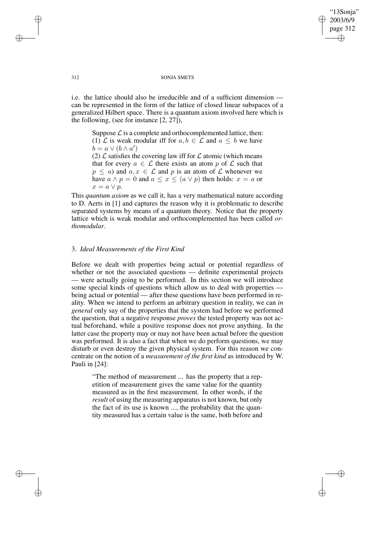'13Sonia" 2003/6/9 page 312 ✐ ✐

✐

✐

312 SONJA SMETS

i.e. the lattice should also be irreducible and of a sufficient dimension can be represented in the form of the lattice of closed linear subspaces of a generalized Hilbert space. There is a quantum axiom involved here which is the following, (see for instance [2, 27]),

Suppose  $\mathcal L$  is a complete and orthocomplemented lattice, then: (1)  $\mathcal L$  is weak modular iff for  $a, b \in \mathcal L$  and  $a \leq b$  we have  $\phi = a \vee (b \wedge a')$ 

(2)  $\mathcal L$  satisfies the covering law iff for  $\mathcal L$  atomic (which means that for every  $a \in \mathcal{L}$  there exists an atom p of  $\mathcal{L}$  such that  $p \leq a$ ) and  $a, x \in \mathcal{L}$  and p is an atom of  $\mathcal{L}$  whenever we have  $a \wedge p = 0$  and  $a \leq x \leq (a \vee p)$  then holds:  $x = a$  or  $x = a \vee p$ .

This *quantum axiom* as we call it, has a very mathematical nature according to D. Aerts in [1] and captures the reason why it is problematic to describe separated systems by means of a quantum theory. Notice that the property lattice which is weak modular and orthocomplemented has been called *orthomodular*.

## 3. *Ideal Measurements of the First Kind*

Before we dealt with properties being actual or potential regardless of whether or not the associated questions — definite experimental projects — were actually going to be performed. In this section we will introduce some special kinds of questions which allow us to deal with properties being actual or potential — after these questions have been performed in reality. When we intend to perform an arbitrary question in reality, we can *in general* only say of the properties that the system had before we performed the question, that a negative response *proves* the tested property was not actual beforehand, while a positive response does not prove anything. In the latter case the property may or may not have been actual before the question was performed. It is also a fact that when we do perform questions, we may disturb or even destroy the given physical system. For this reason we concentrate on the notion of a *measurement of the first kind* as introduced by W. Pauli in [24]:

"The method of measurement ... has the property that a repetition of measurement gives the same value for the quantity measured as in the first measurement. In other words, if the *result* of using the measuring apparatus is not known, but only the fact of its use is known ..., the probability that the quantity measured has a certain value is the same, both before and

✐

✐

✐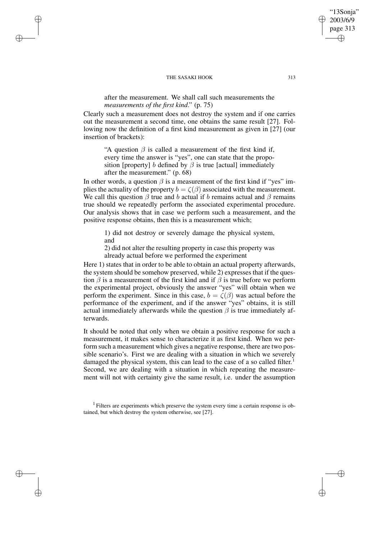✐

✐

✐

✐

after the measurement. We shall call such measurements the *measurements of the first kind*." (p. 75)

Clearly such a measurement does not destroy the system and if one carries out the measurement a second time, one obtains the same result [27]. Following now the definition of a first kind measurement as given in [27] (our insertion of brackets):

"A question  $\beta$  is called a measurement of the first kind if, every time the answer is "yes", one can state that the proposition [property] b defined by  $\beta$  is true [actual] immediately after the measurement." (p. 68)

In other words, a question  $\beta$  is a measurement of the first kind if "yes" implies the actuality of the property  $b = \zeta(\beta)$  associated with the measurement. We call this question  $\beta$  true and b actual if b remains actual and  $\beta$  remains true should we repeatedly perform the associated experimental procedure. Our analysis shows that in case we perform such a measurement, and the positive response obtains, then this is a measurement which;

1) did not destroy or severely damage the physical system, and

2) did not alter the resulting property in case this property was already actual before we performed the experiment

Here 1) states that in order to be able to obtain an actual property afterwards, the system should be somehow preserved, while 2) expresses that if the question  $\beta$  is a measurement of the first kind and if  $\beta$  is true before we perform the experimental project, obviously the answer "yes" will obtain when we perform the experiment. Since in this case,  $b = \zeta(\beta)$  was actual before the performance of the experiment, and if the answer "yes" obtains, it is still actual immediately afterwards while the question  $\beta$  is true immediately afterwards.

It should be noted that only when we obtain a positive response for such a measurement, it makes sense to characterize it as first kind. When we perform such a measurement which gives a negative response, there are two possible scenario's. First we are dealing with a situation in which we severely damaged the physical system, this can lead to the case of a so called filter.<sup>1</sup> Second, we are dealing with a situation in which repeating the measurement will not with certainty give the same result, i.e. under the assumption

 $<sup>1</sup>$  Filters are experiments which preserve the system every time a certain response is ob-</sup> tained, but which destroy the system otherwise, see [27].

'13Sonia" 2003/6/9 page 313

✐

✐

✐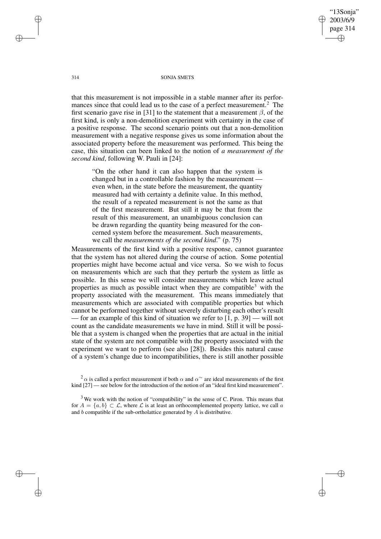"13Sonja" 2003/6/9 page 314 ✐ ✐

✐

✐

314 SONJA SMETS

that this measurement is not impossible in a stable manner after its performances since that could lead us to the case of a perfect measurement.<sup>2</sup> The first scenario gave rise in [31] to the statement that a measurement  $\beta$ , of the first kind, is only a non-demolition experiment with certainty in the case of a positive response. The second scenario points out that a non-demolition measurement with a negative response gives us some information about the associated property before the measurement was performed. This being the case, this situation can been linked to the notion of *a measurement of the second kind*, following W. Pauli in [24]:

"On the other hand it can also happen that the system is changed but in a controllable fashion by the measurement even when, in the state before the measurement, the quantity measured had with certainty a definite value. In this method, the result of a repeated measurement is not the same as that of the first measurement. But still it may be that from the result of this measurement, an unambiguous conclusion can be drawn regarding the quantity being measured for the concerned system before the measurement. Such measurements, we call the *measurements of the second kind*." (p. 75)

Measurements of the first kind with a positive response, cannot guarantee that the system has not altered during the course of action. Some potential properties might have become actual and vice versa. So we wish to focus on measurements which are such that they perturb the system as little as possible. In this sense we will consider measurements which leave actual properties as much as possible intact when they are compatible<sup>3</sup> with the property associated with the measurement. This means immediately that measurements which are associated with compatible properties but which cannot be performed together without severely disturbing each other's result — for an example of this kind of situation we refer to [1, p. 39] — will not count as the candidate measurements we have in mind. Still it will be possible that a system is changed when the properties that are actual in the initial state of the system are not compatible with the property associated with the experiment we want to perform (see also [28]). Besides this natural cause of a system's change due to incompatibilities, there is still another possible

✐

✐

✐

 $2\alpha$  is called a perfect measurement if both  $\alpha$  and  $\alpha^{\sim}$  are ideal measurements of the first kind [27] — see below for the introduction of the notion of an "ideal first kind measurement".

 $3$  We work with the notion of "compatibility" in the sense of C. Piron. This means that for  $A = \{a, b\} \subset \mathcal{L}$ , where  $\mathcal{L}$  is at least an orthocomplemented property lattice, we call a and b compatible if the sub-ortholattice generated by  $\overline{A}$  is distributive.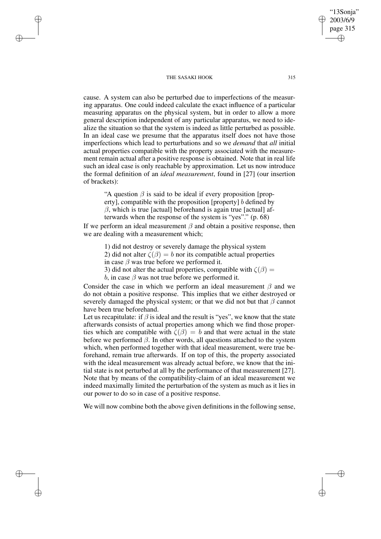✐

✐

✐

✐

cause. A system can also be perturbed due to imperfections of the measuring apparatus. One could indeed calculate the exact influence of a particular measuring apparatus on the physical system, but in order to allow a more general description independent of any particular apparatus, we need to idealize the situation so that the system is indeed as little perturbed as possible. In an ideal case we presume that the apparatus itself does not have those imperfections which lead to perturbations and so we *demand* that *all* initial actual properties compatible with the property associated with the measurement remain actual after a positive response is obtained. Note that in real life such an ideal case is only reachable by approximation. Let us now introduce the formal definition of an *ideal measurement*, found in [27] (our insertion of brackets):

"A question  $\beta$  is said to be ideal if every proposition [property], compatible with the proposition [property] b defined by  $\beta$ , which is true [actual] beforehand is again true [actual] afterwards when the response of the system is "yes"." (p. 68)

If we perform an ideal measurement  $\beta$  and obtain a positive response, then we are dealing with a measurement which;

1) did not destroy or severely damage the physical system

2) did not alter  $\zeta(\beta) = b$  nor its compatible actual properties

in case  $\beta$  was true before we performed it.

3) did not alter the actual properties, compatible with  $\zeta(\beta)$  =

b, in case  $\beta$  was not true before we performed it.

Consider the case in which we perform an ideal measurement  $\beta$  and we do not obtain a positive response. This implies that we either destroyed or severely damaged the physical system; or that we did not but that  $\beta$  cannot have been true beforehand.

Let us recapitulate: if  $\beta$  is ideal and the result is "yes", we know that the state afterwards consists of actual properties among which we find those properties which are compatible with  $\zeta(\beta) = b$  and that were actual in the state before we performed  $\beta$ . In other words, all questions attached to the system which, when performed together with that ideal measurement, were true beforehand, remain true afterwards. If on top of this, the property associated with the ideal measurement was already actual before, we know that the initial state is not perturbed at all by the performance of that measurement [27]. Note that by means of the compatibility-claim of an ideal measurement we indeed maximally limited the perturbation of the system as much as it lies in our power to do so in case of a positive response.

We will now combine both the above given definitions in the following sense,

'13Sonia" 2003/6/9 page 315

✐

✐

✐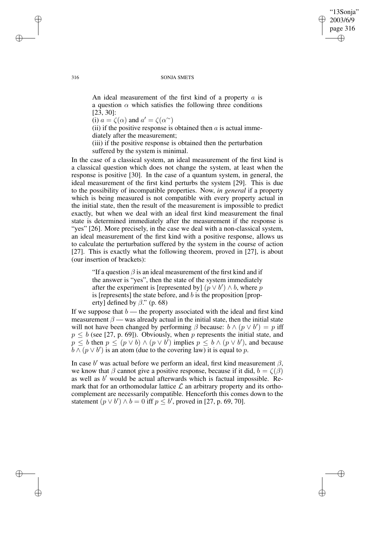#### 316 SONJA SMETS

"13Sonja" 2003/6/9 page 316

✐

✐

✐

✐

An ideal measurement of the first kind of a property a is a question  $\alpha$  which satisfies the following three conditions [23, 30]:

(i)  $a = \zeta(\alpha)$  and  $a' = \zeta(\alpha^{\sim})$ 

(ii) if the positive response is obtained then  $\alpha$  is actual immediately after the measurement;

(iii) if the positive response is obtained then the perturbation suffered by the system is minimal.

In the case of a classical system, an ideal measurement of the first kind is a classical question which does not change the system, at least when the response is positive [30]. In the case of a quantum system, in general, the ideal measurement of the first kind perturbs the system [29]. This is due to the possibility of incompatible properties. Now, *in general* if a property which is being measured is not compatible with every property actual in the initial state, then the result of the measurement is impossible to predict exactly, but when we deal with an ideal first kind measurement the final state is determined immediately after the measurement if the response is "yes" [26]. More precisely, in the case we deal with a non-classical system, an ideal measurement of the first kind with a positive response, allows us to calculate the perturbation suffered by the system in the course of action [27]. This is exactly what the following theorem, proved in [27], is about (our insertion of brackets):

"If a question  $\beta$  is an ideal measurement of the first kind and if the answer is "yes", then the state of the system immediately after the experiment is [represented by]  $(p \vee b') \wedge b$ , where p is [represents] the state before, and  $b$  is the proposition [property] defined by  $\beta$ ." (p. 68)

If we suppose that  $b$  — the property associated with the ideal and first kind measurement  $\beta$  — was already actual in the initial state, then the initial state will not have been changed by performing  $\beta$  because:  $b \wedge (p \vee b') = p$  iff  $p \leq b$  (see [27, p. 69]). Obviously, when p represents the initial state, and  $p \leq b$  then  $p \leq (p \vee b) \wedge (p \vee b')$  implies  $p \leq b \wedge (p \vee b')$ , and because  $\overline{b} \wedge (p \vee b')$  is an atom (due to the covering law) it is equal to p.

In case b' was actual before we perform an ideal, first kind measurement  $\beta$ , we know that  $\beta$  cannot give a positive response, because if it did,  $b = \zeta(\beta)$ as well as  $b'$  would be actual afterwards which is factual impossible. Remark that for an orthomodular lattice  $\mathcal L$  an arbitrary property and its orthocomplement are necessarily compatible. Henceforth this comes down to the statement  $(p \lor b') \land b = 0$  iff  $p \leq b'$ , proved in [27, p. 69, 70].

✐

✐

✐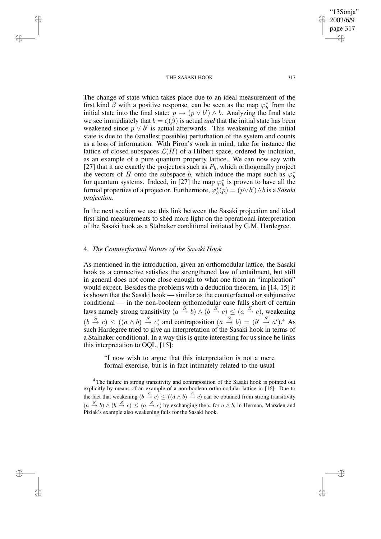The change of state which takes place due to an ideal measurement of the first kind  $\beta$  with a positive response, can be seen as the map  $\varphi_h^*$  $_b^*$  from the initial state into the final state:  $p \mapsto (p \vee b') \wedge b$ . Analyzing the final state we see immediately that  $b = \zeta(\beta)$  is actual *and* that the initial state has been weakened since  $p \vee b'$  is actual afterwards. This weakening of the initial state is due to the (smallest possible) perturbation of the system and counts as a loss of information. With Piron's work in mind, take for instance the lattice of closed subspaces  $\mathcal{L}(H)$  of a Hilbert space, ordered by inclusion, as an example of a pure quantum property lattice. We can now say with [27] that it are exactly the projectors such as  $P_b$ , which orthogonally project the vectors of H onto the subspace b, which induce the maps such as  $\varphi_h^*$ b for quantum systems. Indeed, in [27] the map  $\varphi_h^*$  $\frac{k}{b}$  is proven to have all the formal properties of a projector. Furthermore,  $\varphi_h^*$  $\phi_b^*(p) = (p \vee b') \wedge b$  is a *Sasaki projection*.

In the next section we use this link between the Sasaki projection and ideal first kind measurements to shed more light on the operational interpretation of the Sasaki hook as a Stalnaker conditional initiated by G.M. Hardegree.

## 4. *The Counterfactual Nature of the Sasaki Hook*

✐

✐

✐

✐

As mentioned in the introduction, given an orthomodular lattice, the Sasaki hook as a connective satisfies the strengthened law of entailment, but still in general does not come close enough to what one from an "implication" would expect. Besides the problems with a deduction theorem, in [14, 15] it is shown that the Sasaki hook — similar as the counterfactual or subjunctive conditional — in the non-boolean orthomodular case falls short of certain laws namely strong transitivity  $(a \stackrel{S}{\to} b) \wedge (b \stackrel{S}{\to} c) \leq (a \stackrel{S}{\to} c)$ , weakening  $(b \stackrel{S}{\rightarrow} c) \le ((a \wedge b) \stackrel{S}{\rightarrow} c)$  and contraposition  $(a \stackrel{S}{\rightarrow} b) = (b' \stackrel{S}{\rightarrow} a')$ .<sup>4</sup> As such Hardegree tried to give an interpretation of the Sasaki hook in terms of a Stalnaker conditional. In a way this is quite interesting for us since he links this interpretation to OQL, [15]:

"I now wish to argue that this interpretation is not a mere formal exercise, but is in fact intimately related to the usual

<sup>4</sup> The failure in strong transitivity and contraposition of the Sasaki hook is pointed out explicitly by means of an example of a non-boolean orthomodular lattice in [16]. Due to the fact that weakening  $(b \stackrel{S}{\to} c) \le ((a \wedge b) \stackrel{S}{\to} c)$  can be obtained from strong transitivity  $(a \stackrel{S}{\rightarrow} b) \wedge (b \stackrel{S}{\rightarrow} c) \leq (a \stackrel{S}{\rightarrow} c)$  by exchanging the a for  $a \wedge b$ , in Herman, Marsden and Piziak's example also weakening fails for the Sasaki hook.

"13Sonja" 2003/6/9 page 317

✐

✐

✐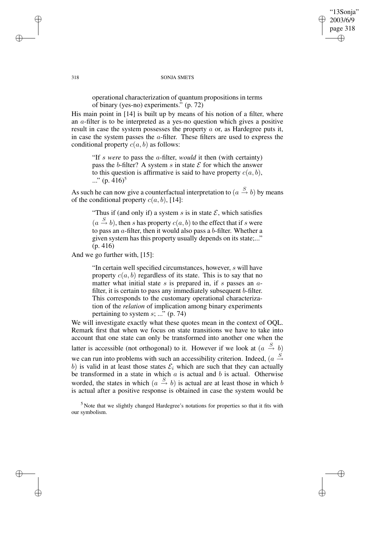"13Sonja" 2003/6/9 page 318 ✐ ✐

✐

✐

318 SONJA SMETS

operational characterization of quantum propositions in terms of binary (yes-no) experiments." (p. 72)

His main point in [14] is built up by means of his notion of a filter, where an  $a$ -filter is to be interpreted as a yes-no question which gives a positive result in case the system possesses the property  $a$  or, as Hardegree puts it, in case the system passes the a-filter. These filters are used to express the conditional property  $c(a, b)$  as follows:

"If s *were* to pass the a-filter, *would* it then (with certainty) pass the b-filter? A system s in state  $\mathcal E$  for which the answer to this question is affirmative is said to have property  $c(a, b)$ ,  $\ldots$ " (p. 416)<sup>5</sup>

As such he can now give a counterfactual interpretation to  $(a \stackrel{S}{\rightarrow} b)$  by means of the conditional property  $c(a, b)$ , [14]:

"Thus if (and only if) a system s is in state  $\mathcal{E}$ , which satisfies

 $(a \stackrel{S}{\rightarrow} b)$ , then s has property  $c(a, b)$  to the effect that if s were to pass an  $a$ -filter, then it would also pass a  $b$ -filter. Whether a given system has this property usually depends on its state;..." (p. 416)

And we go further with, [15]:

"In certain well specified circumstances, however, s will have property  $c(a, b)$  regardless of its state. This is to say that no matter what initial state  $s$  is prepared in, if  $s$  passes an  $a$ filter, it is certain to pass any immediately subsequent b-filter. This corresponds to the customary operational characterization of the *relation* of implication among binary experiments pertaining to system  $s$ ; ..." (p. 74)

We will investigate exactly what these quotes mean in the context of OQL. Remark first that when we focus on state transitions we have to take into account that one state can only be transformed into another one when the latter is accessible (not orthogonal) to it. However if we look at  $(a \stackrel{S}{\rightarrow} b)$ we can run into problems with such an accessibility criterion. Indeed,  $(a \stackrel{S}{\rightarrow} b)$ b) is valid in at least those states  $\mathcal{E}_i$  which are such that they can actually be transformed in a state in which  $a$  is actual and  $b$  is actual. Otherwise worded, the states in which  $(a \stackrel{S}{\rightarrow} b)$  is actual are at least those in which b is actual after a positive response is obtained in case the system would be

<sup>5</sup> Note that we slightly changed Hardegree's notations for properties so that it fits with our symbolism.

✐

✐

✐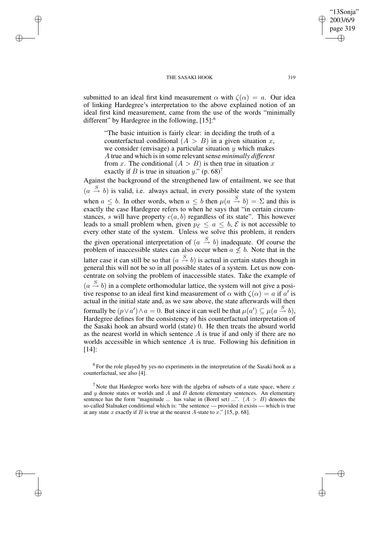✐

✐

✐

✐

submitted to an ideal first kind measurement  $\alpha$  with  $\zeta(\alpha) = a$ . Our idea of linking Hardegree's interpretation to the above explained notion of an ideal first kind measurement, came from the use of the words "minimally different" by Hardegree in the following,  $[15]$ :<sup>6</sup>

"The basic intuition is fairly clear: in deciding the truth of a counterfactual conditional  $(A > B)$  in a given situation x, we consider (envisage) a particular situation  $y$  which makes A true and which is in some relevant sense *minimally different* from x. The conditional  $(A > B)$  is then true in situation x exactly if B is true in situation y." (p. 68)<sup>7</sup>

Against the background of the strengthened law of entailment, we see that  $(a \stackrel{S}{\rightarrow} b)$  is valid, i.e. always actual, in every possible state of the system when  $a \leq b$ . In other words, when  $a \leq b$  then  $\mu(a \stackrel{S}{\to} b) = \Sigma$  and this is exactly the case Hardegree refers to when he says that "in certain circumstances, s will have property  $c(a, b)$  regardless of its state". This however leads to a small problem when, given  $p_{\mathcal{E}} \le a \le b$ ,  $\mathcal{E}$  is not accessible to every other state of the system. Unless we solve this problem, it renders the given operational interpretation of  $(a \stackrel{S}{\rightarrow} b)$  inadequate. Of course the problem of inaccessible states can also occur when  $a \not\leq b$ . Note that in the latter case it can still be so that  $(a \stackrel{S}{\rightarrow} b)$  is actual in certain states though in general this will not be so in all possible states of a system. Let us now concentrate on solving the problem of inaccessible states. Take the example of  $(a \stackrel{S}{\rightarrow} b)$  in a complete orthomodular lattice, the system will not give a positive response to an ideal first kind measurement of  $\alpha$  with  $\zeta(\alpha) = a$  if  $\alpha'$  is actual in the initial state and, as we saw above, the state afterwards will then formally be  $(p \lor a') \land a = 0$ . But since it can well be that  $\mu(a') \subseteq \mu(a \stackrel{S}{\to} b)$ , Hardegree defines for the consistency of his counterfactual interpretation of the Sasaki hook an absurd world (state) 0. He then treats the absurd world as the nearest world in which sentence  $A$  is true if and only if there are no worlds accessible in which sentence A is true. Following his definition in [14]:

 $6$  For the role played by yes-no experiments in the interpretation of the Sasaki hook as a counterfactual, see also [4].

<sup>7</sup> Note that Hardegree works here with the algebra of subsets of a state space, where  $x$ and  $y$  denote states or worlds and  $A$  and  $B$  denote elementary sentences. An elementary sentence has the form "magnitude ... has value in (Borel set) ...".  $(A > B)$  denotes the so-called Stalnaker conditional which is: "the sentence — provided it exists — which is true at any state x exactly if B is true at the nearest A-state to  $\bar{x}$ ." [15, p. 68].

"13Sonja" 2003/6/9 page 319

✐

✐

✐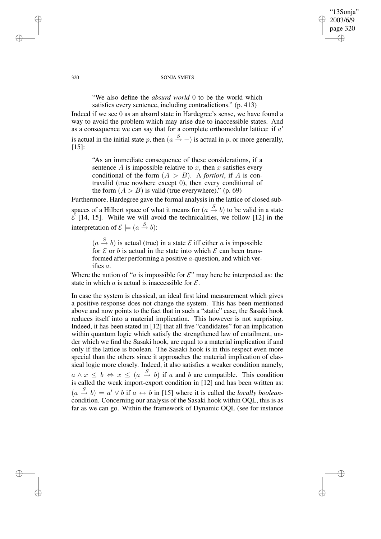"13Sonja" 2003/6/9 page 320 ✐ ✐

✐

✐

#### 320 SONJA SMETS

"We also define the *absurd world* 0 to be the world which satisfies every sentence, including contradictions." (p. 413)

Indeed if we see 0 as an absurd state in Hardegree's sense, we have found a way to avoid the problem which may arise due to inaccessible states. And as a consequence we can say that for a complete orthomodular lattice: if  $a'$ is actual in the initial state p, then  $(a \stackrel{S}{\rightarrow} -)$  is actual in p, or more generally, [15]:

"As an immediate consequence of these considerations, if a sentence  $A$  is impossible relative to  $x$ , then  $x$  satisfies every conditional of the form  $(A > B)$ . A *fortiori*, if A is contravalid (true nowhere except 0), then every conditional of the form  $(A > B)$  is valid (true everywhere)." (p. 69)

Furthermore, Hardegree gave the formal analysis in the lattice of closed subspaces of a Hilbert space of what it means for  $(a \stackrel{S}{\rightarrow} b)$  to be valid in a state  $\vec{\mathcal{E}}$  [14, 15]. While we will avoid the technicalities, we follow [12] in the interpretation of  $\mathcal{E} \models (a \stackrel{S}{\rightarrow} b)$ :

 $(a \stackrel{S}{\rightarrow} b)$  is actual (true) in a state  $\mathcal E$  iff either a is impossible for  $\mathcal E$  or b is actual in the state into which  $\mathcal E$  can been transformed after performing a positive a-question, and which verifies a.

Where the notion of "*a* is impossible for  $\mathcal{E}$ " may here be interpreted as: the state in which  $\alpha$  is actual is inaccessible for  $\mathcal{E}$ .

In case the system is classical, an ideal first kind measurement which gives a positive response does not change the system. This has been mentioned above and now points to the fact that in such a "static" case, the Sasaki hook reduces itself into a material implication. This however is not surprising. Indeed, it has been stated in [12] that all five "candidates" for an implication within quantum logic which satisfy the strengthened law of entailment, under which we find the Sasaki hook, are equal to a material implication if and only if the lattice is boolean. The Sasaki hook is in this respect even more special than the others since it approaches the material implication of classical logic more closely. Indeed, it also satisfies a weaker condition namely,  $a \wedge x \leq b \Leftrightarrow x \leq (a \stackrel{S}{\rightarrow} b)$  if a and b are compatible. This condition is called the weak import-export condition in [12] and has been written as:  $(a \stackrel{S}{\rightarrow} b) = a' \vee b$  if  $a \leftrightarrow b$  in [15] where it is called the *locally boolean*condition. Concerning our analysis of the Sasaki hook within OQL, this is as far as we can go. Within the framework of Dynamic OQL (see for instance

✐

✐

✐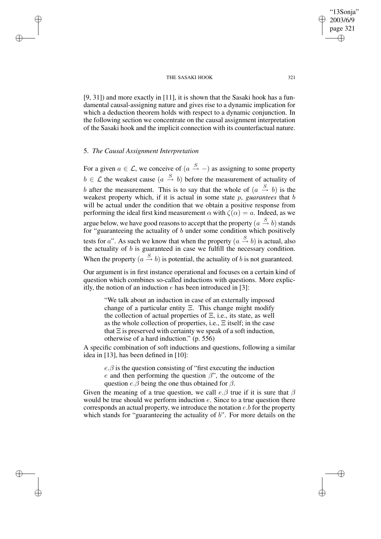[9, 31]) and more exactly in [11], it is shown that the Sasaki hook has a fundamental causal-assigning nature and gives rise to a dynamic implication for which a deduction theorem holds with respect to a dynamic conjunction. In the following section we concentrate on the causal assignment interpretation of the Sasaki hook and the implicit connection with its counterfactual nature.

## 5. *The Causal Assignment Interpretation*

✐

✐

✐

✐

For a given  $a \in \mathcal{L}$ , we conceive of  $(a \stackrel{S}{\rightarrow} -)$  as assigning to some property  $b \in \mathcal{L}$  the weakest cause  $(a \stackrel{S}{\to} b)$  before the measurement of actuality of b after the measurement. This is to say that the whole of  $(a \stackrel{S}{\rightarrow} b)$  is the weakest property which, if it is actual in some state p, *guarantees* that b will be actual under the condition that we obtain a positive response from performing the ideal first kind measurement  $\alpha$  with  $\zeta(\alpha) = a$ . Indeed, as we argue below, we have good reasons to accept that the property  $(a\stackrel{S}{\to}b)$  stands for "guaranteeing the actuality of b under some condition which positively tests for a". As such we know that when the property  $(a \stackrel{S}{\rightarrow} b)$  is actual, also the actuality of  $b$  is guaranteed in case we fulfill the necessary condition. When the property  $(a \stackrel{S}{\rightarrow} b)$  is potential, the actuality of b is not guaranteed.

Our argument is in first instance operational and focuses on a certain kind of question which combines so-called inductions with questions. More explicitly, the notion of an induction  $e$  has been introduced in [3]:

"We talk about an induction in case of an externally imposed change of a particular entity  $\Xi$ . This change might modify the collection of actual properties of  $\Xi$ , i.e., its state, as well as the whole collection of properties, i.e., Ξ itself; in the case that  $\Xi$  is preserved with certainty we speak of a soft induction, otherwise of a hard induction." (p. 556)

A specific combination of soft inductions and questions, following a similar idea in [13], has been defined in [10]:

 $e.\beta$  is the question consisting of "first executing the induction" e and then performing the question  $\beta$ ", the outcome of the question  $e.\overline{\beta}$  being the one thus obtained for  $\beta$ .

Given the meaning of a true question, we call  $e.\beta$  true if it is sure that  $\beta$ would be true should we perform induction e. Since to a true question there corresponds an actual property, we introduce the notation  $e.b$  for the property which stands for "guaranteeing the actuality of  $b$ ". For more details on the

"13Sonja" 2003/6/9 page 321

✐

✐

✐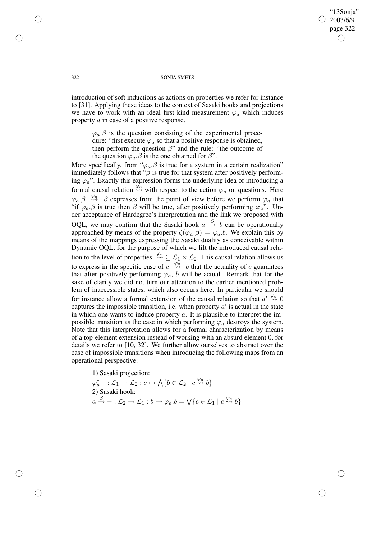322 SONJA SMETS

"13Sonja" 2003/6/9 page 322

✐

✐

✐

✐

introduction of soft inductions as actions on properties we refer for instance to [31]. Applying these ideas to the context of Sasaki hooks and projections we have to work with an ideal first kind measurement  $\varphi_a$  which induces property a in case of a positive response.

 $\varphi_a$ . $\beta$  is the question consisting of the experimental procedure: "first execute  $\varphi_a$  so that a positive response is obtained, then perform the question  $\beta$ " and the rule: "the outcome of the question  $\varphi_a$ . $\beta$  is the one obtained for  $\beta$ ".

More specifically, from " $\varphi_a$ .  $\beta$  is true for a system in a certain realization" immediately follows that " $\beta$  is true for that system after positively performing  $\varphi_a$ ". Exactly this expression forms the underlying idea of introducing a formal causal relation  $\stackrel{\varphi_a}{\leadsto}$  with respect to the action  $\varphi_a$  on questions. Here  $\varphi_a$ . $\beta \stackrel{\varphi_a}{\leadsto} \beta$  expresses from the point of view before we perform  $\varphi_a$  that "if  $\varphi_a$ . $\beta$  is true then  $\beta$  will be true, after positively performing  $\varphi_a$ ". Under acceptance of Hardegree's interpretation and the link we proposed with OQL, we may confirm that the Sasaki hook  $a \stackrel{S}{\rightarrow} b$  can be operationally approached by means of the property  $\zeta(\varphi_a,\beta) = \varphi_a.b$ . We explain this by means of the mappings expressing the Sasaki duality as conceivable within Dynamic OQL, for the purpose of which we lift the introduced causal relation to the level of properties:  $\stackrel{\varphi_a}{\leadsto} \subseteq \mathcal{L}_1 \times \mathcal{L}_2$ . This causal relation allows us to express in the specific case of  $c \stackrel{\varphi_a}{\leadsto} b$  that the actuality of c guarantees that after positively performing  $\varphi_a$ , b will be actual. Remark that for the sake of clarity we did not turn our attention to the earlier mentioned problem of inaccessible states, which also occurs here. In particular we should for instance allow a formal extension of the causal relation so that  $a' \stackrel{\varphi_a}{\leadsto} 0$ captures the impossible transition, i.e. when property  $a'$  is actual in the state in which one wants to induce property  $a$ . It is plausible to interpret the impossible transition as the case in which performing  $\varphi_a$  destroys the system. Note that this interpretation allows for a formal characterization by means of a top-element extension instead of working with an absurd element 0, for details we refer to [10, 32]. We further allow ourselves to abstract over the case of impossible transitions when introducing the following maps from an operational perspective:

1) Sasaki projection:  $\varphi_a^*$ - :  $\mathcal{L}_1 \to \mathcal{L}_2$  :  $c \mapsto \bigwedge \{b \in \mathcal{L}_2 \mid c \stackrel{\varphi_a}{\leadsto} b\}$ 2) Sasaki hook:  $a \stackrel{S}{\rightarrow} - : \mathcal{L}_2 \rightarrow \mathcal{L}_1 : b \mapsto \varphi_a.b = \bigvee \{c \in \mathcal{L}_1 \mid c \stackrel{\varphi_a}{\rightsquigarrow} b\}$ 

✐

✐

✐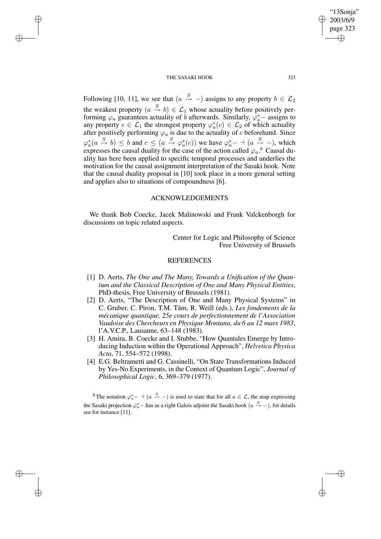✐

✐

✐

✐

Following [10, 11], we see that  $(a \stackrel{S}{\rightarrow} -)$  assigns to any property  $b \in \mathcal{L}_2$ the weakest property  $(a \stackrel{S}{\rightarrow} b) \in \mathcal{L}_1$  whose actuality before positively performing  $\varphi_a$  guarantees actuality of b afterwards. Similarly,  $\varphi_a^*$  – assigns to any property  $c \in \mathcal{L}_1$  the strongest property  $\varphi_a^*(c) \in \mathcal{L}_2$  of which actuality after positively performing  $\varphi_a$  is due to the actuality of c beforehand. Since  $\varphi_a^*(a \xrightarrow{S} b) \leq b$  and  $c \leq (a \xrightarrow{S} \varphi_a^*(c))$  we have  $\varphi_a^*$  -  $(a \xrightarrow{S} -)$ , which expresses the causal duality for the case of the action called  $\varphi_a$ .<sup>8</sup> Causal duality has here been applied to specific temporal processes and underlies the motivation for the causal assignment interpretation of the Sasaki hook. Note that the causal duality proposal in [10] took place in a more general setting and applies also to situations of compoundness [6].

## ACKNOWLEDGEMENTS

We thank Bob Coecke, Jacek Malinowski and Frank Valckenborgh for discussions on topic related aspects.

> Center for Logic and Philosophy of Science Free University of Brussels

# REFERENCES

- [1] D. Aerts, *The One and The Many, Towards a Unification of the Quantum and the Classical Description of One and Many Physical Entities*, PhD-thesis, Free University of Brussels (1981).
- [2] D. Aerts, "The Description of One and Many Physical Systems" in C. Gruber, C. Piron, T.M. Tâm, R. Weill (eds.), *Les fondements de la mécanique quantique, 25e cours de perfectionnement de l'Association Vaudoise des Chercheurs en Physique Montana, du 6 au 12 mars 1983*, l'A.V.C.P., Lausanne, 63–148 (1983).
- [3] H. Amira, B. Coecke and I. Stubbe, "How Quantales Emerge by Introducing Induction within the Operational Approach", *Helvetica Physica Acta*, 71, 554–572 (1998).
- [4] E.G. Beltrametti and G. Cassinelli, "On State Transformations Induced by Yes-No Experiments, in the Context of Quantum Logic", *Journal of Philosophical Logic*, 6, 369–379 (1977).

<sup>8</sup>The notation  $\varphi_a^*$  –  $\vdash$   $(a \stackrel{S}{\rightarrow} -)$  is used to state that for all  $a \in \mathcal{L}$ , the map expressing the Sasaki projection  $\varphi_a^*$  – has as a right Galois adjoint the Sasaki hook  $(a \stackrel{S}{\rightarrow} -)$ , for details see for instance [11].

"13Sonja" 2003/6/9 page 323

✐

✐

✐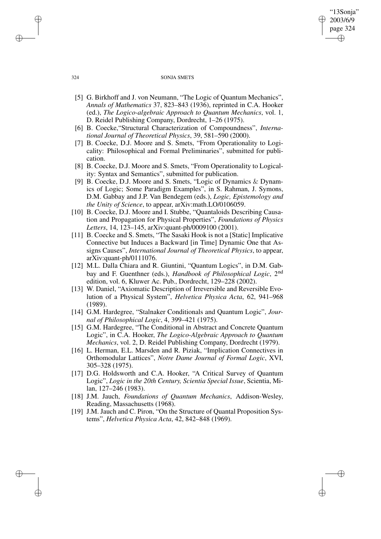#### 324 SONJA SMETS

"13Sonja" 2003/6/9 page 324

✐

✐

✐

✐

- [5] G. Birkhoff and J. von Neumann, "The Logic of Quantum Mechanics", *Annals of Mathematics* 37, 823–843 (1936), reprinted in C.A. Hooker (ed.), *The Logico-algebraic Approach to Quantum Mechanics*, vol. 1, D. Reidel Publishing Company, Dordrecht, 1–26 (1975).
- [6] B. Coecke,"Structural Characterization of Compoundness", *International Journal of Theoretical Physics*, 39, 581–590 (2000).
- [7] B. Coecke, D.J. Moore and S. Smets, "From Operationality to Logicality: Philosophical and Formal Preliminaries", submitted for publication.
- [8] B. Coecke, D.J. Moore and S. Smets, "From Operationality to Logicality: Syntax and Semantics", submitted for publication.
- [9] B. Coecke, D.J. Moore and S. Smets, "Logic of Dynamics & Dynamics of Logic; Some Paradigm Examples", in S. Rahman, J. Symons, D.M. Gabbay and J.P. Van Bendegem (eds.), *Logic, Epistemology and the Unity of Science*, to appear, arXiv:math.LO/0106059.
- [10] B. Coecke, D.J. Moore and I. Stubbe, "Quantaloids Describing Causation and Propagation for Physical Properties", *Foundations of Physics Letters*, 14, 123–145, arXiv:quant-ph/0009100 (2001).
- [11] B. Coecke and S. Smets, "The Sasaki Hook is not a [Static] Implicative Connective but Induces a Backward [in Time] Dynamic One that Assigns Causes", *International Journal of Theoretical Physics*, to appear, arXiv:quant-ph/0111076.
- [12] M.L. Dalla Chiara and R. Giuntini, "Quantum Logics", in D.M. Gabbay and F. Guenthner (eds.), *Handbook of Philosophical Logic*, 2 nd edition, vol. 6, Kluwer Ac. Pub., Dordrecht, 129–228 (2002).
- [13] W. Daniel, "Axiomatic Description of Irreversible and Reversible Evolution of a Physical System", *Helvetica Physica Acta*, 62, 941–968 (1989).
- [14] G.M. Hardegree, "Stalnaker Conditionals and Quantum Logic", *Journal of Philosophical Logic*, 4, 399–421 (1975).
- [15] G.M. Hardegree, "The Conditional in Abstract and Concrete Quantum Logic", in C.A. Hooker, *The Logico-Algebraic Approach to Quantum Mechanics*, vol. 2, D. Reidel Publishing Company, Dordrecht (1979).
- [16] L. Herman, E.L. Marsden and R. Piziak, "Implication Connectives in Orthomodular Lattices", *Notre Dame Journal of Formal Logic*, XVI, 305–328 (1975).
- [17] D.G. Holdsworth and C.A. Hooker, "A Critical Survey of Quantum Logic", *Logic in the 20th Century, Scientia Special Issue*, Scientia, Milan, 127–246 (1983).
- [18] J.M. Jauch, *Foundations of Quantum Mechanics*, Addison-Wesley, Reading, Massachusetts (1968).
- [19] J.M. Jauch and C. Piron, "On the Structure of Quantal Proposition Systems", *Helvetica Physica Acta*, 42, 842–848 (1969).

✐

✐

✐